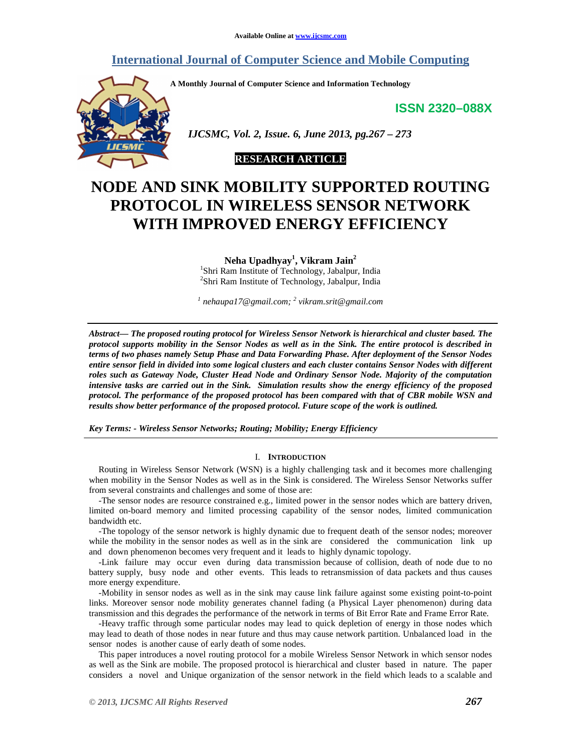# **International Journal of Computer Science and Mobile Computing**

**A Monthly Journal of Computer Science and Information Technology** 

**ISSN 2320–088X**



 *IJCSMC, Vol. 2, Issue. 6, June 2013, pg.267 – 273* 

# **RESEARCH ARTICLE**

# **NODE AND SINK MOBILITY SUPPORTED ROUTING PROTOCOL IN WIRELESS SENSOR NETWORK WITH IMPROVED ENERGY EFFICIENCY**

**Neha Upadhyay<sup>1</sup> , Vikram Jain<sup>2</sup>**

1 Shri Ram Institute of Technology, Jabalpur, India <sup>2</sup>Shri Ram Institute of Technology, Jabalpur, India

*1 nehaupa17@gmail.com; <sup>2</sup> vikram.srit@gmail.com* 

*Abstract— The proposed routing protocol for Wireless Sensor Network is hierarchical and cluster based. The protocol supports mobility in the Sensor Nodes as well as in the Sink. The entire protocol is described in terms of two phases namely Setup Phase and Data Forwarding Phase. After deployment of the Sensor Nodes entire sensor field in divided into some logical clusters and each cluster contains Sensor Nodes with different roles such as Gateway Node, Cluster Head Node and Ordinary Sensor Node. Majority of the computation intensive tasks are carried out in the Sink. Simulation results show the energy efficiency of the proposed protocol. The performance of the proposed protocol has been compared with that of CBR mobile WSN and results show better performance of the proposed protocol. Future scope of the work is outlined.* 

*Key Terms: - Wireless Sensor Networks; Routing; Mobility; Energy Efficiency* 

#### I. **INTRODUCTION**

Routing in Wireless Sensor Network (WSN) is a highly challenging task and it becomes more challenging when mobility in the Sensor Nodes as well as in the Sink is considered. The Wireless Sensor Networks suffer from several constraints and challenges and some of those are:

-The sensor nodes are resource constrained e.g., limited power in the sensor nodes which are battery driven, limited on-board memory and limited processing capability of the sensor nodes, limited communication bandwidth etc.

-The topology of the sensor network is highly dynamic due to frequent death of the sensor nodes; moreover while the mobility in the sensor nodes as well as in the sink are considered the communication link up and down phenomenon becomes very frequent and it leads to highly dynamic topology.

-Link failure may occur even during data transmission because of collision, death of node due to no battery supply, busy node and other events. This leads to retransmission of data packets and thus causes more energy expenditure.

-Mobility in sensor nodes as well as in the sink may cause link failure against some existing point-to-point links. Moreover sensor node mobility generates channel fading (a Physical Layer phenomenon) during data transmission and this degrades the performance of the network in terms of Bit Error Rate and Frame Error Rate.

-Heavy traffic through some particular nodes may lead to quick depletion of energy in those nodes which may lead to death of those nodes in near future and thus may cause network partition. Unbalanced load in the sensor nodes is another cause of early death of some nodes.

This paper introduces a novel routing protocol for a mobile Wireless Sensor Network in which sensor nodes as well as the Sink are mobile. The proposed protocol is hierarchical and cluster based in nature. The paper considers a novel and Unique organization of the sensor network in the field which leads to a scalable and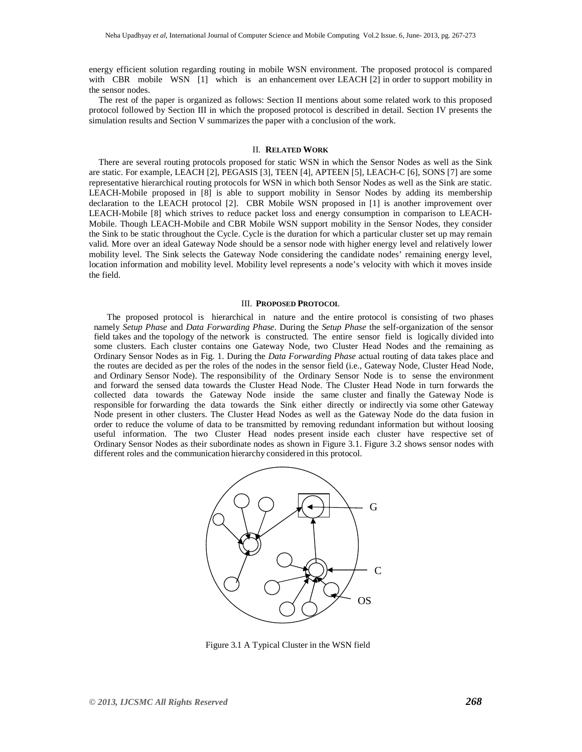energy efficient solution regarding routing in mobile WSN environment. The proposed protocol is compared with CBR mobile WSN [1] which is an enhancement over LEACH [2] in order to support mobility in the sensor nodes.

The rest of the paper is organized as follows: Section II mentions about some related work to this proposed protocol followed by Section III in which the proposed protocol is described in detail. Section IV presents the simulation results and Section V summarizes the paper with a conclusion of the work.

# II. **RELATED WORK**

There are several routing protocols proposed for static WSN in which the Sensor Nodes as well as the Sink are static. For example, LEACH [2], PEGASIS [3], TEEN [4], APTEEN [5], LEACH-C [6], SONS [7] are some representative hierarchical routing protocols for WSN in which both Sensor Nodes as well as the Sink are static. LEACH-Mobile proposed in [8] is able to support mobility in Sensor Nodes by adding its membership declaration to the LEACH protocol [2]. CBR Mobile WSN proposed in [1] is another improvement over LEACH-Mobile [8] which strives to reduce packet loss and energy consumption in comparison to LEACH-Mobile. Though LEACH-Mobile and CBR Mobile WSN support mobility in the Sensor Nodes, they consider the Sink to be static throughout the Cycle. Cycle is the duration for which a particular cluster set up may remain valid. More over an ideal Gateway Node should be a sensor node with higher energy level and relatively lower mobility level. The Sink selects the Gateway Node considering the candidate nodes' remaining energy level, location information and mobility level. Mobility level represents a node's velocity with which it moves inside the field.

#### III. **PROPOSED PROTOCOL**

The proposed protocol is hierarchical in nature and the entire protocol is consisting of two phases namely *Setup Phase* and *Data Forwarding Phase*. During the *Setup Phase* the self-organization of the sensor field takes and the topology of the network is constructed. The entire sensor field is logically divided into some clusters. Each cluster contains one Gateway Node, two Cluster Head Nodes and the remaining as Ordinary Sensor Nodes as in Fig. 1. During the *Data Forwarding Phase* actual routing of data takes place and the routes are decided as per the roles of the nodes in the sensor field (i.e., Gateway Node, Cluster Head Node, and Ordinary Sensor Node). The responsibility of the Ordinary Sensor Node is to sense the environment and forward the sensed data towards the Cluster Head Node. The Cluster Head Node in turn forwards the collected data towards the Gateway Node inside the same cluster and finally the Gateway Node is responsible for forwarding the data towards the Sink either directly or indirectly via some other Gateway Node present in other clusters. The Cluster Head Nodes as well as the Gateway Node do the data fusion in order to reduce the volume of data to be transmitted by removing redundant information but without loosing useful information. The two Cluster Head nodes present inside each cluster have respective set of Ordinary Sensor Nodes as their subordinate nodes as shown in Figure 3.1. Figure 3.2 shows sensor nodes with different roles and the communication hierarchy considered in this protocol.



Figure 3.1 A Typical Cluster in the WSN field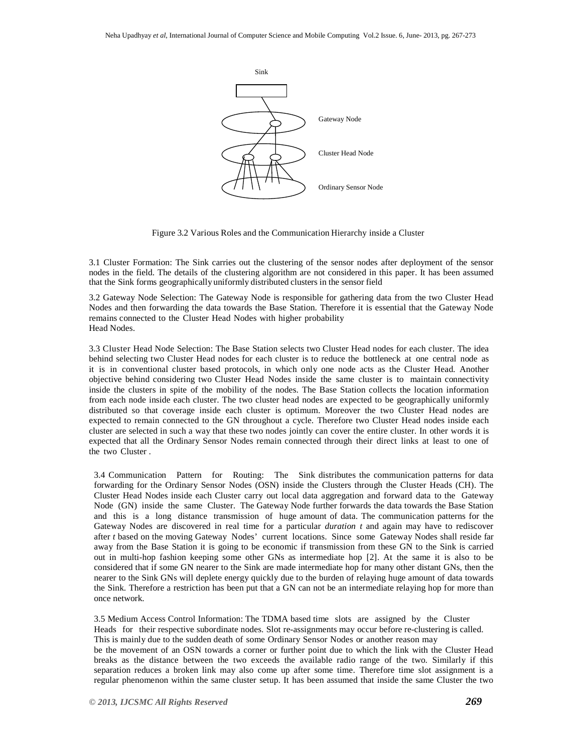

Figure 3.2 Various Roles and the Communication Hierarchy inside a Cluster

3.1 Cluster Formation: The Sink carries out the clustering of the sensor nodes after deployment of the sensor nodes in the field. The details of the clustering algorithm are not considered in this paper. It has been assumed that the Sink forms geographically uniformly distributed clusters in the sensor field

3.2 Gateway Node Selection: The Gateway Node is responsible for gathering data from the two Cluster Head Nodes and then forwarding the data towards the Base Station. Therefore it is essential that the Gateway Node remains connected to the Cluster Head Nodes with higher probability Head Nodes.

3.3 Cluster Head Node Selection: The Base Station selects two Cluster Head nodes for each cluster. The idea behind selecting two Cluster Head nodes for each cluster is to reduce the bottleneck at one central node as it is in conventional cluster based protocols, in which only one node acts as the Cluster Head. Another objective behind considering two Cluster Head Nodes inside the same cluster is to maintain connectivity inside the clusters in spite of the mobility of the nodes. The Base Station collects the location information from each node inside each cluster. The two cluster head nodes are expected to be geographically uniformly distributed so that coverage inside each cluster is optimum. Moreover the two Cluster Head nodes are expected to remain connected to the GN throughout a cycle. Therefore two Cluster Head nodes inside each cluster are selected in such a way that these two nodes jointly can cover the entire cluster. In other words it is expected that all the Ordinary Sensor Nodes remain connected through their direct links at least to one of the two Cluster .

3.4 Communication Pattern for Routing: The Sink distributes the communication patterns for data forwarding for the Ordinary Sensor Nodes (OSN) inside the Clusters through the Cluster Heads (CH). The Cluster Head Nodes inside each Cluster carry out local data aggregation and forward data to the Gateway Node (GN) inside the same Cluster. The Gateway Node further forwards the data towards the Base Station and this is a long distance transmission of huge amount of data. The communication patterns for the Gateway Nodes are discovered in real time for a particular *duration t* and again may have to rediscover after *t* based on the moving Gateway Nodes' current locations. Since some Gateway Nodes shall reside far away from the Base Station it is going to be economic if transmission from these GN to the Sink is carried out in multi-hop fashion keeping some other GNs as intermediate hop [2]. At the same it is also to be considered that if some GN nearer to the Sink are made intermediate hop for many other distant GNs, then the nearer to the Sink GNs will deplete energy quickly due to the burden of relaying huge amount of data towards the Sink. Therefore a restriction has been put that a GN can not be an intermediate relaying hop for more than once network.

3.5 Medium Access Control Information: The TDMA based time slots are assigned by the Cluster Heads for their respective subordinate nodes. Slot re-assignments may occur before re-clustering is called. This is mainly due to the sudden death of some Ordinary Sensor Nodes or another reason may

be the movement of an OSN towards a corner or further point due to which the link with the Cluster Head breaks as the distance between the two exceeds the available radio range of the two. Similarly if this separation reduces a broken link may also come up after some time. Therefore time slot assignment is a regular phenomenon within the same cluster setup. It has been assumed that inside the same Cluster the two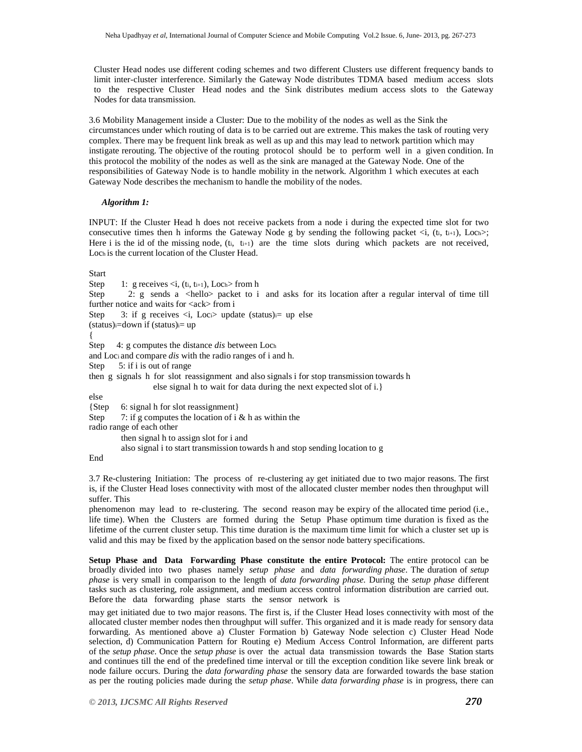Cluster Head nodes use different coding schemes and two different Clusters use different frequency bands to limit inter-cluster interference. Similarly the Gateway Node distributes TDMA based medium access slots to the respective Cluster Head nodes and the Sink distributes medium access slots to the Gateway Nodes for data transmission.

3.6 Mobility Management inside a Cluster: Due to the mobility of the nodes as well as the Sink the circumstances under which routing of data is to be carried out are extreme. This makes the task of routing very complex. There may be frequent link break as well as up and this may lead to network partition which may instigate rerouting. The objective of the routing protocol should be to perform well in a given condition. In this protocol the mobility of the nodes as well as the sink are managed at the Gateway Node. One of the responsibilities of Gateway Node is to handle mobility in the network. Algorithm 1 which executes at each Gateway Node describes the mechanism to handle the mobility of the nodes.

## *Algorithm 1:*

INPUT: If the Cluster Head h does not receive packets from a node i during the expected time slot for two consecutive times then h informs the Gateway Node g by sending the following packet  $\langle i, (t_i, t_{i+1}), \text{Loch}\rangle$ ; Here i is the id of the missing node,  $(t_i, t_{i+1})$  are the time slots during which packets are not received, Loch is the current location of the Cluster Head.

Start

Step 1: g receives  $\langle i, (t_i, t_{i+1}), \text{Loc}_h \rangle$  from h Step 2: g sends a <hello> packet to i and asks for its location after a regular interval of time till further notice and waits for <ack> from i Step 3: if g receives  $\langle i, \text{Loc}\rangle$  update (status) $i = \text{up}$  else (status)i=down if (status)i= up { Step 4: g computes the distance *dis* between Loc<sup>h</sup> and Loci and compare *dis* with the radio ranges of i and h. Step 5: if i is out of range then g signals h for slot reassignment and also signals i for stop transmission towards h else signal h to wait for data during the next expected slot of i.} else {Step 6: signal h for slot reassignment} Step  $\overline{7}$ : if g computes the location of i & h as within the radio range of each other then signal h to assign slot for i and also signal i to start transmission towards h and stop sending location to g

End

3.7 Re-clustering Initiation: The process of re-clustering ay get initiated due to two major reasons. The first is, if the Cluster Head loses connectivity with most of the allocated cluster member nodes then throughput will suffer. This

phenomenon may lead to re-clustering. The second reason may be expiry of the allocated time period (i.e., life time). When the Clusters are formed during the Setup Phase optimum time duration is fixed as the lifetime of the current cluster setup. This time duration is the maximum time limit for which a cluster set up is valid and this may be fixed by the application based on the sensor node battery specifications.

**Setup Phase and Data Forwarding Phase constitute the entire Protocol:** The entire protocol can be broadly divided into two phases namely *setup phase* and *data forwarding phase*. The duration of *setup phase* is very small in comparison to the length of *data forwarding phase*. During the *setup phase* different tasks such as clustering, role assignment, and medium access control information distribution are carried out. Before the data forwarding phase starts the sensor network is

may get initiated due to two major reasons. The first is, if the Cluster Head loses connectivity with most of the allocated cluster member nodes then throughput will suffer. This organized and it is made ready for sensory data forwarding. As mentioned above a) Cluster Formation b) Gateway Node selection c) Cluster Head Node selection, d) Communication Pattern for Routing e) Medium Access Control Information, are different parts of the *setup phase*. Once the *setup phase* is over the actual data transmission towards the Base Station starts and continues till the end of the predefined time interval or till the exception condition like severe link break or node failure occurs. During the *data forwarding phase* the sensory data are forwarded towards the base station as per the routing policies made during the *setup phase*. While *data forwarding phase* is in progress, there can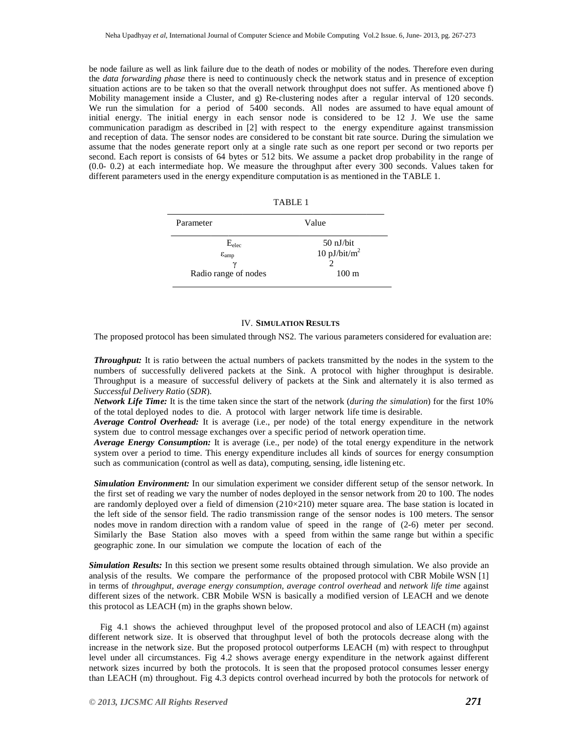be node failure as well as link failure due to the death of nodes or mobility of the nodes. Therefore even during the *data forwarding phase* there is need to continuously check the network status and in presence of exception situation actions are to be taken so that the overall network throughput does not suffer. As mentioned above f) Mobility management inside a Cluster, and g) Re-clustering nodes after a regular interval of 120 seconds. We run the simulation for a period of 5400 seconds. All nodes are assumed to have equal amount of initial energy. The initial energy in each sensor node is considered to be 12 J. We use the same communication paradigm as described in [2] with respect to the energy expenditure against transmission and reception of data. The sensor nodes are considered to be constant bit rate source. During the simulation we assume that the nodes generate report only at a single rate such as one report per second or two reports per second. Each report is consists of 64 bytes or 512 bits. We assume a packet drop probability in the range of (0.0- 0.2) at each intermediate hop. We measure the throughput after every 300 seconds. Values taken for different parameters used in the energy expenditure computation is as mentioned in the TABLE 1.

| `ABI. |
|-------|
|-------|

| Parameter                    | Value             |
|------------------------------|-------------------|
| $E_{elec}$                   | $50 \text{ nJ/b}$ |
| $\varepsilon$ <sub>amp</sub> | 10 pJ/bit/ $m^2$  |
|                              |                   |
| Radio range of nodes         | $100 \text{ m}$   |

## IV. **SIMULATION RESULTS**

The proposed protocol has been simulated through NS2. The various parameters considered for evaluation are:

*Throughput:* It is ratio between the actual numbers of packets transmitted by the nodes in the system to the numbers of successfully delivered packets at the Sink. A protocol with higher throughput is desirable. Throughput is a measure of successful delivery of packets at the Sink and alternately it is also termed as *Successful Delivery Ratio* (*SDR*).

*Network Life Time:* It is the time taken since the start of the network (*during the simulation*) for the first 10% of the total deployed nodes to die. A protocol with larger network life time is desirable.

*Average Control Overhead:* It is average (i.e., per node) of the total energy expenditure in the network system due to control message exchanges over a specific period of network operation time.

*Average Energy Consumption:* It is average (i.e., per node) of the total energy expenditure in the network system over a period to time. This energy expenditure includes all kinds of sources for energy consumption such as communication (control as well as data), computing, sensing, idle listening etc.

*Simulation Environment:* In our simulation experiment we consider different setup of the sensor network. In the first set of reading we vary the number of nodes deployed in the sensor network from 20 to 100. The nodes are randomly deployed over a field of dimension  $(210\times210)$  meter square area. The base station is located in the left side of the sensor field. The radio transmission range of the sensor nodes is 100 meters. The sensor nodes move in random direction with a random value of speed in the range of (2-6) meter per second. Similarly the Base Station also moves with a speed from within the same range but within a specific geographic zone. In our simulation we compute the location of each of the

*Simulation Results:* In this section we present some results obtained through simulation. We also provide an analysis of the results. We compare the performance of the proposed protocol with CBR Mobile WSN [1] in terms of *throughput, average energy consumption, average control overhead* and *network life time* against different sizes of the network. CBR Mobile WSN is basically a modified version of LEACH and we denote this protocol as LEACH (m) in the graphs shown below.

Fig 4.1 shows the achieved throughput level of the proposed protocol and also of LEACH (m) against different network size. It is observed that throughput level of both the protocols decrease along with the increase in the network size. But the proposed protocol outperforms LEACH (m) with respect to throughput level under all circumstances. Fig 4.2 shows average energy expenditure in the network against different network sizes incurred by both the protocols. It is seen that the proposed protocol consumes lesser energy than LEACH (m) throughout. Fig 4.3 depicts control overhead incurred by both the protocols for network of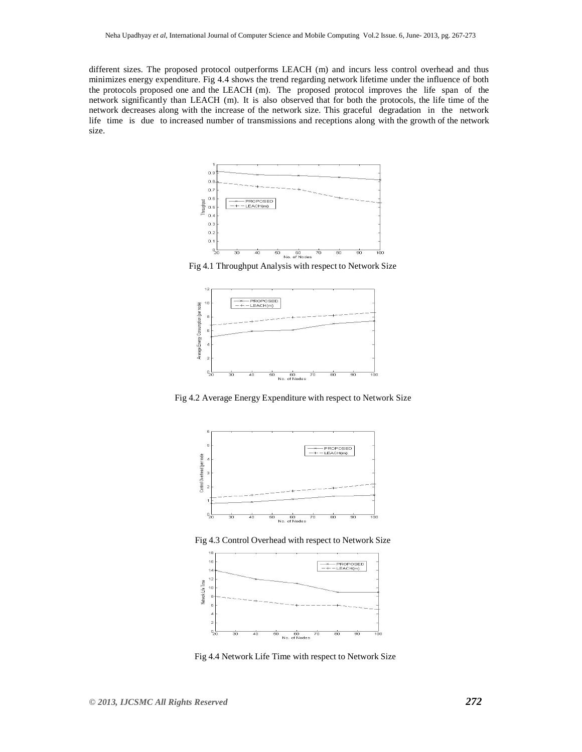different sizes. The proposed protocol outperforms LEACH (m) and incurs less control overhead and thus minimizes energy expenditure. Fig 4.4 shows the trend regarding network lifetime under the influence of both the protocols proposed one and the LEACH (m). The proposed protocol improves the life span of the network significantly than LEACH (m). It is also observed that for both the protocols, the life time of the network decreases along with the increase of the network size. This graceful degradation in the network life time is due to increased number of transmissions and receptions along with the growth of the network size.



Fig 4.1 Throughput Analysis with respect to Network Size



Fig 4.2 Average Energy Expenditure with respect to Network Size



Fig 4.3 Control Overhead with respect to Network Size



Fig 4.4 Network Life Time with respect to Network Size